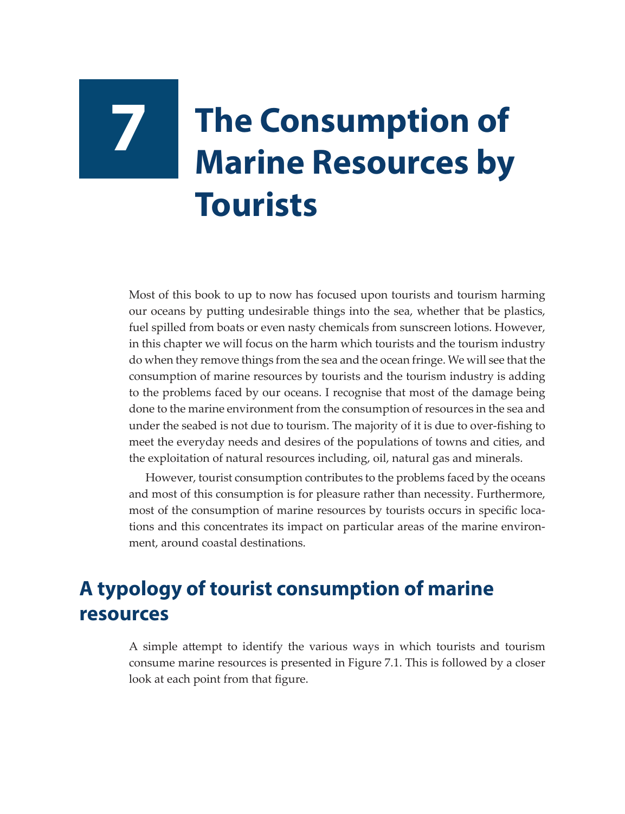## **7 The Consumption of Marine Resources by Tourists**

Most of this book to up to now has focused upon tourists and tourism harming our oceans by putting undesirable things into the sea, whether that be plastics, fuel spilled from boats or even nasty chemicals from sunscreen lotions. However, in this chapter we will focus on the harm which tourists and the tourism industry do when they remove things from the sea and the ocean fringe. We will see that the consumption of marine resources by tourists and the tourism industry is adding to the problems faced by our oceans. I recognise that most of the damage being done to the marine environment from the consumption of resources in the sea and under the seabed is not due to tourism. The majority of it is due to over-fishing to meet the everyday needs and desires of the populations of towns and cities, and the exploitation of natural resources including, oil, natural gas and minerals.

However, tourist consumption contributes to the problems faced by the oceans and most of this consumption is for pleasure rather than necessity. Furthermore, most of the consumption of marine resources by tourists occurs in specific locations and this concentrates its impact on particular areas of the marine environment, around coastal destinations.

## **A typology of tourist consumption of marine resources**

A simple attempt to identify the various ways in which tourists and tourism consume marine resources is presented in Figure 7.1. This is followed by a closer look at each point from that figure.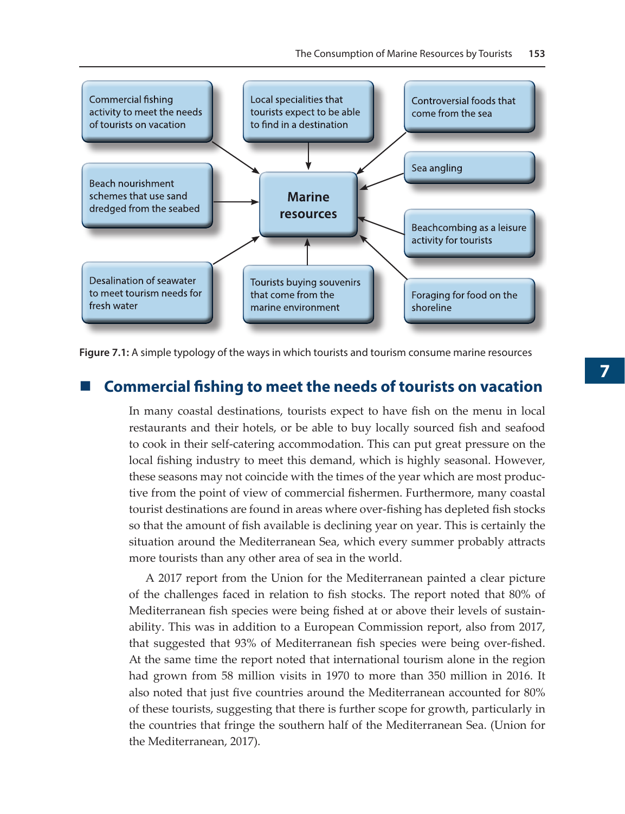

**Figure 7.1:** A simple typology of the ways in which tourists and tourism consume marine resources

## **Commercial fishing to meet the needs of tourists on vacation**

In many coastal destinations, tourists expect to have fish on the menu in local restaurants and their hotels, or be able to buy locally sourced fish and seafood to cook in their self-catering accommodation. This can put great pressure on the local fishing industry to meet this demand, which is highly seasonal. However, these seasons may not coincide with the times of the year which are most productive from the point of view of commercial fishermen. Furthermore, many coastal tourist destinations are found in areas where over-fishing has depleted fish stocks so that the amount of fish available is declining year on year. This is certainly the situation around the Mediterranean Sea, which every summer probably attracts more tourists than any other area of sea in the world.

A 2017 report from the Union for the Mediterranean painted a clear picture of the challenges faced in relation to fish stocks. The report noted that 80% of Mediterranean fish species were being fished at or above their levels of sustainability. This was in addition to a European Commission report, also from 2017, that suggested that 93% of Mediterranean fish species were being over-fished. At the same time the report noted that international tourism alone in the region had grown from 58 million visits in 1970 to more than 350 million in 2016. It also noted that just five countries around the Mediterranean accounted for 80% of these tourists, suggesting that there is further scope for growth, particularly in the countries that fringe the southern half of the Mediterranean Sea. (Union for the Mediterranean, 2017).